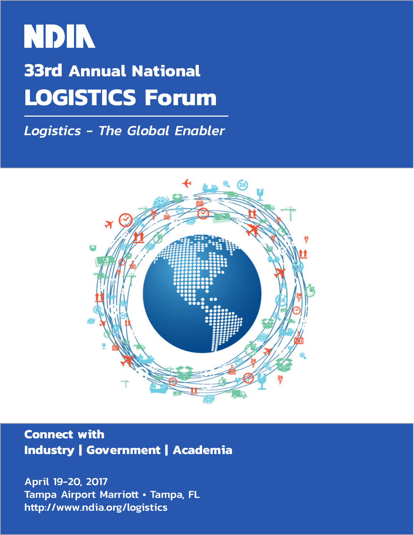## **NDIN 33rd Annual National LOGISTICS Forum**

*Logistics - The Global Enabler*



**Connect with Industry | Government | Academia** 

April 19-20, 2017 Tampa Airport Marriott • Tampa, FL http://www.ndia.org/logistics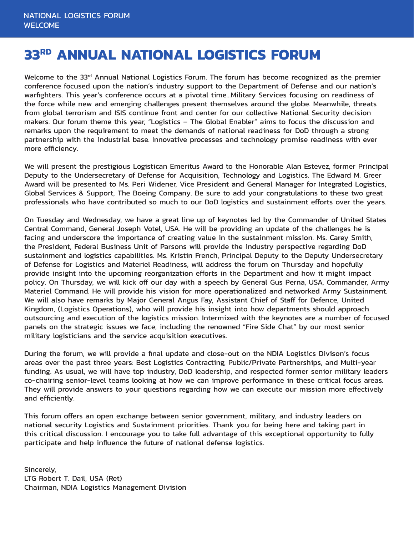## **33RD ANNUAL NATIONAL LOGISTICS FORUM**

Welcome to the 33<sup>rd</sup> Annual National Logistics Forum. The forum has become recognized as the premier conference focused upon the nation's industry support to the Department of Defense and our nation's warfighters. This year's conference occurs at a pivotal time…Military Services focusing on readiness of the force while new and emerging challenges present themselves around the globe. Meanwhile, threats from global terrorism and ISIS continue front and center for our collective National Security decision makers. Our forum theme this year, "Logistics – The Global Enabler" aims to focus the discussion and remarks upon the requirement to meet the demands of national readiness for DoD through a strong partnership with the industrial base. Innovative processes and technology promise readiness with ever more efficiency.

We will present the prestigious Logistican Emeritus Award to the Honorable Alan Estevez, former Principal Deputy to the Undersecretary of Defense for Acquisition, Technology and Logistics. The Edward M. Greer Award will be presented to Ms. Peri Widener, Vice President and General Manager for Integrated Logistics, Global Services & Support, The Boeing Company. Be sure to add your congratulations to these two great professionals who have contributed so much to our DoD logistics and sustainment efforts over the years.

On Tuesday and Wednesday, we have a great line up of keynotes led by the Commander of United States Central Command, General Joseph Votel, USA. He will be providing an update of the challenges he is facing and underscore the importance of creating value in the sustainment mission. Ms. Carey Smith, the President, Federal Business Unit of Parsons will provide the industry perspective regarding DoD sustainment and logistics capabilities. Ms. Kristin French, Principal Deputy to the Deputy Undersecretary of Defense for Logistics and Materiel Readiness, will address the forum on Thursday and hopefully provide insight into the upcoming reorganization efforts in the Department and how it might impact policy. On Thursday, we will kick off our day with a speech by General Gus Perna, USA, Commander, Army Materiel Command. He will provide his vision for more operationalized and networked Army Sustainment. We will also have remarks by Major General Angus Fay, Assistant Chief of Staff for Defence, United Kingdom, (Logistics Operations), who will provide his insight into how departments should approach outsourcing and execution of the logistics mission. Intermixed with the keynotes are a number of focused panels on the strategic issues we face, including the renowned "Fire Side Chat" by our most senior military logisticians and the service acquisition executives.

During the forum, we will provide a final update and close-out on the NDIA Logistics Divison's focus areas over the past three years: Best Logistics Contracting, Public/Private Partnerships, and Multi-year funding. As usual, we will have top industry, DoD leadership, and respected former senior military leaders co-chairing senior-level teams looking at how we can improve performance in these critical focus areas. They will provide answers to your questions regarding how we can execute our mission more effectively and efficiently.

This forum offers an open exchange between senior government, military, and industry leaders on national security Logistics and Sustainment priorities. Thank you for being here and taking part in this critical discussion. I encourage you to take full advantage of this exceptional opportunity to fully participate and help influence the future of national defense logistics.

Sincerely, LTG Robert T. Dail, USA (Ret) Chairman, NDIA Logistics Management Division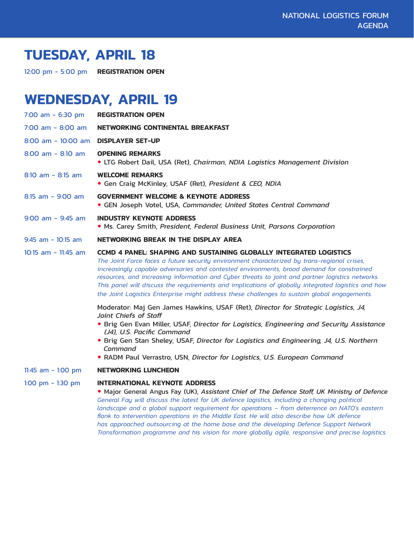## **TUESDAY, APRIL 18**

12:00 pm - 5:00 pm **REGISTRATION OPEN**

## **WEDNESDAY, APRIL 19**

| 7:00 am $-6:30$ pm     | <b>REGISTRATION OPEN</b>                                                                                                                                                                                                                                                                                                                                                                                                                                                                                                                                                        |
|------------------------|---------------------------------------------------------------------------------------------------------------------------------------------------------------------------------------------------------------------------------------------------------------------------------------------------------------------------------------------------------------------------------------------------------------------------------------------------------------------------------------------------------------------------------------------------------------------------------|
| $7:00$ am - 8:00 am    | NETWORKING CONTINENTAL BREAKFAST                                                                                                                                                                                                                                                                                                                                                                                                                                                                                                                                                |
| $8:00$ am - $10:00$ am | <b>DISPLAYER SET-UP</b>                                                                                                                                                                                                                                                                                                                                                                                                                                                                                                                                                         |
| $8:00$ am - $8:10$ am  | <b>OPENING REMARKS</b><br>• LTG Robert Dail, USA (Ret), Chairman, NDIA Logistics Management Division                                                                                                                                                                                                                                                                                                                                                                                                                                                                            |
| $8:10$ am - $8:15$ am  | <b>WELCOME REMARKS</b><br>• Gen Craig McKinley, USAF (Ret), President & CEO, NDIA                                                                                                                                                                                                                                                                                                                                                                                                                                                                                               |
| $8:15$ am - $9:00$ am  | <b>GOVERNMENT WELCOME &amp; KEYNOTE ADDRESS</b><br>• GEN Joseph Votel, USA, Commander, United States Central Command                                                                                                                                                                                                                                                                                                                                                                                                                                                            |
| $9:00$ am - $9:45$ am  | <b>INDUSTRY KEYNOTE ADDRESS</b><br>• Ms. Carey Smith, President, Federal Business Unit, Parsons Corporation                                                                                                                                                                                                                                                                                                                                                                                                                                                                     |
| $9:45$ am - $10:15$ am | NETWORKING BREAK IN THE DISPLAY AREA                                                                                                                                                                                                                                                                                                                                                                                                                                                                                                                                            |
| $10:15$ am - 11:45 am  | <b>CCMD 4 PANEL: SHAPING AND SUSTAINING GLOBALLY INTEGRATED LOGISTICS</b><br>The Joint Force faces a future security environment characterized by trans-regional crises,<br>increasingly capable adversaries and contested environments, broad demand for constrained<br>resources, and increasing information and Cyber threats to joint and partner logistics networks.<br>This panel will discuss the requirements and implications of globally integrated logistics and how<br>the Joint Logistics Enterprise might address these challenges to sustain global engagements. |
|                        | Moderator: Maj Gen James Hawkins, USAF (Ret), Director for Strategic Logistics, J4,<br>Joint Chiefs of Staff<br>• Brig Gen Evan Miller, USAF, Director for Logistics, Engineering and Security Assistance<br>(J4), U.S. Pacific Command<br>. Brig Gen Stan Sheley, USAF, Director for Logistics and Engineering, J4, U.S. Northern<br>Command<br>• RADM Paul Verrastro, USN, Director for Logistics, U.S. European Command                                                                                                                                                      |
| 11:45 $am - 1:00 pm$   | <b>NETWORKING LUNCHEON</b>                                                                                                                                                                                                                                                                                                                                                                                                                                                                                                                                                      |
| 1:00 pm $-$ 1:30 pm    | <b>INTERNATIONAL KEYNOTE ADDRESS</b><br>. Major General Angus Fay (UK), Assistant Chief of The Defence Staff, UK Ministry of Defence                                                                                                                                                                                                                                                                                                                                                                                                                                            |

 *General Fay will discuss the latest for UK defence logistics, including a changing political landscape and a global support requirement for operations – from deterrence on NATO's eastern flank to intervention operations in the Middle East. He will also describe how UK defence has approached outsourcing at the home base and the developing Defence Support Network Transformation programme and his vision for more globally agile, responsive and precise logistics.*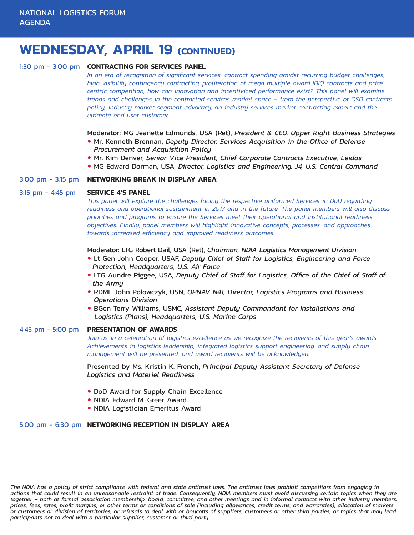## **WEDNESDAY, APRIL 19 (CONTINUED)**

#### 1:30 pm - 3:00 pm **CONTRACTING FOR SERVICES PANEL**

 *In an era of recognition of significant services, contract spending amidst recurring budget challenges, high visibility contingency contracting, proliferation of mega multiple award IDIQ contracts and price centric competition, how can innovation and incentivized performance exist? This panel will examine trends and challenges in the contracted services market space – from the perspective of OSD contracts policy, industry market segment advocacy, an industry services market contracting expert and the ultimate end user customer.*

Moderator: MG Jeanette Edmunds, USA (Ret), *President & CEO, Upper Right Business Strategies*

- Mr. Kenneth Brennan, *Deputy Director, Services Acquisition in the Office of Defense Procurement and Acquisition Policy*
- Mr. Kim Denver, *Senior Vice President, Chief Corporate Contracts Executive, Leidos*
- **MG Edward Dorman, USA, Director, Logistics and Engineering, J4, U.S. Central Command**

#### 3:00 pm - 3:15 pm **NETWORKING BREAK IN DISPLAY AREA**

#### 3:15 pm - 4:45 pm **SERVICE 4'S PANEL**

 *This panel will explore the challenges facing the respective uniformed Services in DoD regarding readiness and operational sustainment in 2017 and in the future. The panel members will also discuss priorities and programs to ensure the Services meet their operational and institutional readiness objectives. Finally, panel members will highlight innovative concepts, processes, and approaches towards increased efficiency and improved readiness outcomes.*

#### Moderator: LTG Robert Dail, USA (Ret), *Chairman, NDIA Logistics Management Division*

- Lt Gen John Cooper, USAF, *Deputy Chief of Staff for Logistics, Engineering and Force Protection, Headquarters, U.S. Air Force*
- LTG Aundre Piggee, USA, *Deputy Chief of Staff for Logistics, Office of the Chief of Staff of the Army*
- RDML John Polowczyk, USN, *OPNAV N41, Director, Logistics Programs and Business Operations Division*
- BGen Terry Williams, USMC, *Assistant Deputy Commandant for Installations and Logistics (Plans), Headquarters, U.S. Marine Corps*

#### 4:45 pm - 5:00 pm **PRESENTATION OF AWARDS**

 *Join us in a celebration of logistics excellence as we recognize the recipients of this year's awards. Achievements in logistics leadership, integrated logistics support engineering, and supply chain management will be presented, and award recipients will be acknowledged.*  

 Presented by Ms. Kristin K. French, *Principal Deputy Assistant Secretary of Defense Logistics and Materiel Readiness*

- DoD Award for Supply Chain Excellence
- NDIA Edward M. Greer Award
- NDIA Logistician Emeritus Award

#### 5:00 pm - 6:30 pm **NETWORKING RECEPTION IN DISPLAY AREA**

*The NDIA has a policy of strict compliance with federal and state antitrust laws. The antitrust laws prohibit competitors from engaging in actions that could result in an unreasonable restraint of trade. Consequently, NDIA members must avoid discussing certain topics when they are together – both at formal association membership, board, committee, and other meetings and in informal contacts with other industry members:*  prices, fees, rates, profit margins, or other terms or conditions of sale (including allowances, credit terms, and warranties); allocation of markets or customers or division of territories; or refusals to deal with or boycotts of suppliers, customers or other third parties, or topics that may lead *participants not to deal with a particular supplier, customer or third party.*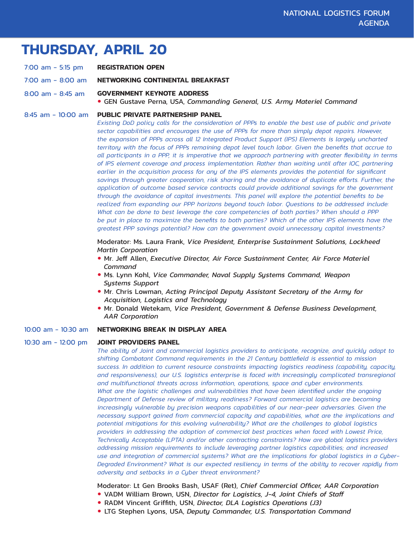## **THURSDAY, APRIL 20**

- 7:00 am 5:15 pm **REGISTRATION OPEN**
- 7:00 am 8:00 am **NETWORKING CONTINENTAL BREAKFAST**
- 8:00 am 8:45 am **GOVERNMENT KEYNOTE ADDRESS**
	- GEN Gustave Perna, USA, *Commanding General, U.S. Army Materiel Command*
- 8:45 am 10:00 am **PUBLIC PRIVATE PARTNERSHIP PANEL**

 *Existing DoD policy calls for the consideration of PPPs to enable the best use of public and private sector capabilities and encourages the use of PPPs for more than simply depot repairs. However, the expansion of PPPs across all 12 Integrated Product Support (IPS) Elements is largely uncharted territory with the focus of PPPs remaining depot level touch labor. Given the benefits that accrue to* all participants in a PPP, it is imperative that we approach partnering with greater flexibility in terms  *of IPS element coverage and process implementation. Rather than waiting until after IOC, partnering earlier in the acquisition process for any of the IPS elements provides the potential for significant savings through greater cooperation, risk sharing and the avoidance of duplicate efforts. Further, the application of outcome based service contracts could provide additional savings for the government through the avoidance of capital investments. This panel will explore the potential benefits to be realized from expanding our PPP horizons beyond touch labor. Questions to be addressed include: What can be done to best leverage the core competencies of both parties? When should a PPP*  be put in place to maximize the benefits to both parties? Which of the other IPS elements have the  *greatest PPP savings potential? How can the government avoid unnecessary capital investments?*

 Moderator: Ms. Laura Frank, *Vice President, Enterprise Sustainment Solutions, Lockheed Martin Corporation*

- Mr. Jeff Allen, *Executive Director, Air Force Sustainment Center, Air Force Materiel Command*
- Ms. Lynn Kohl, *Vice Commander, Naval Supply Systems Command, Weapon Systems Support*
- Mr. Chris Lowman, *Acting Principal Deputy Assistant Secretary of the Army for Acquisition, Logistics and Technology*
- Mr. Donald Wetekam, *Vice President, Government & Defense Business Development, AAR Corporation*

#### 10:00 am - 10:30 am **NETWORKING BREAK IN DISPLAY AREA**

#### 10:30 am - 12:00 pm **JOINT PROVIDERS PANEL**

 *The ability of Joint and commercial logistics providers to anticipate, recognize, and quickly adapt to shifting Combatant Command requirements in the 21 Century battlefield is essential to mission success. In addition to current resource constraints impacting logistics readiness (capability, capacity, and responsiveness), our U.S. logistics enterprise is faced with increasingly complicated transregional and multifunctional threats across information, operations, space and cyber environments. What are the logistic challenges and vulnerabilities that have been identified under the ongoing Department of Defense review of military readiness? Forward commercial logistics are becoming increasingly vulnerable by precision weapons capabilities of our near-peer adversaries. Given the necessary support gained from commercial capacity and capabilities, what are the implications and potential mitigations for this evolving vulnerability? What are the challenges to global logistics providers in addressing the adoption of commercial best practices when faced with Lowest Price, Technically Acceptable (LPTA) and/or other contracting constraints? How are global logistics providers addressing mission requirements to include leveraging partner logistics capabilities; and increased use and integration of commercial systems? What are the implications for global logistics in a Cyber- Degraded Environment? What is our expected resiliency in terms of the ability to recover rapidly from adversity and setbacks in a Cyber threat environment?* 

Moderator: Lt Gen Brooks Bash, USAF (Ret), *Chief Commercial Officer, AAR Corporation*

- VADM William Brown, USN, *Director for Logistics, J-4, Joint Chiefs of Staff*
- RADM Vincent Griffith, USN, *Director, DLA Logistics Operations (J3)*
- LTG Stephen Lyons, USA, *Deputy Commander, U.S. Transportation Command*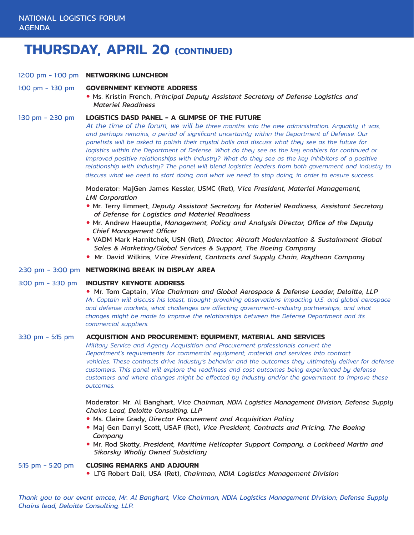## **THURSDAY, APRIL 20 (CONTINUED)**

- 12:00 pm 1:00 pm **NETWORKING LUNCHEON**
- 1:00 pm 1:30 pm **GOVERNMENT KEYNOTE ADDRESS**
	- **Ms. Kristin French,** *Principal Deputy Assistant Secretary of Defense Logistics and Materiel Readiness*

#### 1:30 pm - 2:30 pm **LOGISTICS DASD PANEL - A GLIMPSE OF THE FUTURE**

*At the time of the forum, we will be three months into the new administration. Arguably, it was, and perhaps remains, a period of significant uncertainty within the Department of Defense. Our panelists will be asked to polish their crystal balls and discuss what they see as the future for logistics within the Department of Defense. What do they see as the key enablers for continued or improved positive relationships with industry? What do they see as the key inhibitors of a positive relationship with industry? The panel will blend logistics leaders from both government and industry to discuss what we need to start doing, and what we need to stop doing, in order to ensure success.* 

 Moderator: MajGen James Kessler, USMC (Ret), *Vice President, Materiel Management, LMI Corporation*

- Mr. Terry Emmert, *Deputy Assistant Secretary for Materiel Readiness, Assistant Secretary of Defense for Logistics and Materiel Readiness*
- Mr. Andrew Haeuptle, *Management, Policy and Analysis Director, Office of the Deputy Chief Management Officer*
- VADM Mark Harnitchek, USN (Ret), *Director, Aircraft Modernization & Sustainment Global Sales & Marketing/Global Services & Support, The Boeing Company*
- **Mr. David Wilkins,** *Vice President, Contracts and Supply Chain, Raytheon Company*

#### 2:30 pm - 3:00 pm **NETWORKING BREAK IN DISPLAY AREA**

#### 3:00 pm - 3:30 pm **INDUSTRY KEYNOTE ADDRESS**

 Mr. Tom Captain, *Vice Chairman and Global Aerospace & Defense Leader, Deloitte, LLP Mr. Captain will discuss his latest, thought-provoking observations impacting U.S. and global aerospace and defense markets, what challenges are affecting government-industry partnerships, and what changes might be made to improve the relationships between the Defense Department and its commercial suppliers.* 

#### 3:30 pm - 5:15 pm **ACQUISITION AND PROCUREMENT: EQUIPMENT, MATERIAL AND SERVICES**

*Military Service and Agency Acquisition and Procurement professionals convert the Department's requirements for commercial equipment, material and services into contract vehicles. These contracts drive industry's behavior and the outcomes they ultimately deliver for defense customers. This panel will explore the readiness and cost outcomes being experienced by defense customers and where changes might be effected by industry and/or the government to improve these outcomes.* 

 Moderator: Mr. Al Banghart, *Vice Chairman, NDIA Logistics Management Division; Defense Supply Chains Lead, Deloitte Consulting, LLP*

- Ms. Claire Grady, *Director Procurement and Acquisition Policy*
- **Maj Gen Darryl Scott, USAF (Ret), Vice President, Contracts and Pricing, The Boeing**  *Company*
- Mr. Rod Skotty, *President, Maritime Helicopter Support Company, a Lockheed Martin and Sikorsky Wholly Owned Subsidiary*

#### 5:15 pm - 5:20 pm**CLOSING REMARKS AND ADJOURN**

LTG Robert Dail, USA (Ret), *Chairman, NDIA Logistics Management Division*

Thank you to our event emcee, Mr. Al Banghart, Vice Chairman, NDIA Logistics Management Division; Defense Supply *Chains lead, Deloitte Consulting, LLP.*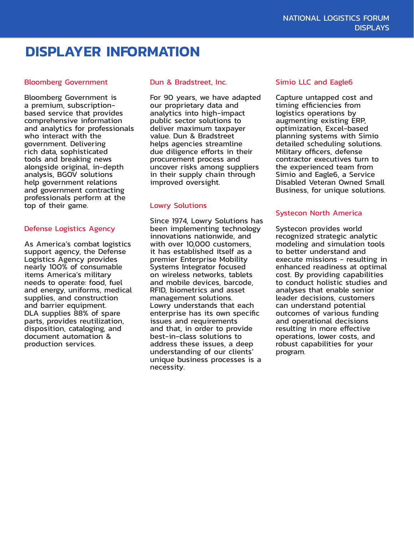## **DISPLAYER INFORMATION**

#### Bloomberg Government

Bloomberg Government is a premium, subscriptionbased service that provides comprehensive information and analytics for professionals who interact with the government. Delivering rich data, sophisticated tools and breaking news alongside original, in-depth analysis, BGOV solutions help government relations and government contracting professionals perform at the top of their game.

#### Defense Logistics Agency

As America's combat logistics support agency, the Defense Logistics Agency provides nearly 100% of consumable items America's military needs to operate: food, fuel and energy, uniforms, medical supplies, and construction and barrier equipment. DLA supplies 88% of spare parts, provides reutilization, disposition, cataloging, and document automation & production services.

#### Dun & Bradstreet, Inc.

For 90 years, we have adapted our proprietary data and analytics into high-impact public sector solutions to deliver maximum taxpayer value. Dun & Bradstreet helps agencies streamline due diligence efforts in their procurement process and uncover risks among suppliers in their supply chain through improved oversight.

#### Lowry Solutions

Since 1974, Lowry Solutions has been implementing technology innovations nationwide, and with over 10,000 customers, it has established itself as a premier Enterprise Mobility Systems Integrator focused on wireless networks, tablets and mobile devices, barcode, RFID, biometrics and asset management solutions. Lowry understands that each enterprise has its own specific issues and requirements and that, in order to provide best-in-class solutions to address these issues, a deep understanding of our clients' unique business processes is a necessity.

#### Simio LLC and Eagle6

Capture untapped cost and timing efficiencies from logistics operations by augmenting existing ERP, optimization, Excel-based planning systems with Simio detailed scheduling solutions. Military officers, defense contractor executives turn to the experienced team from Simio and Eagle6, a Service Disabled Veteran Owned Small Business, for unique solutions.

#### Systecon North America

Systecon provides world recognized strategic analytic modeling and simulation tools to better understand and execute missions - resulting in enhanced readiness at optimal cost. By providing capabilities to conduct holistic studies and analyses that enable senior leader decisions, customers can understand potential outcomes of various funding and operational decisions resulting in more effective operations, lower costs, and robust capabilities for your program.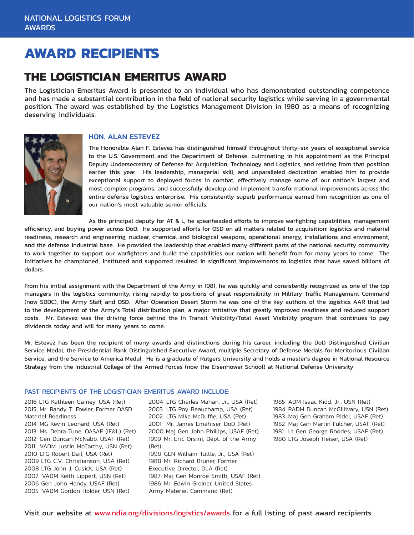## **AWARD RECIPIENTS**

### **THE LOGISTICIAN EMERITUS AWARD**

The Logistician Emeritus Award is presented to an individual who has demonstrated outstanding competence and has made a substantial contribution in the field of national security logistics while serving in a governmental position. The award was established by the Logistics Management Division in 1980 as a means of recognizing deserving individuals.



#### HON. ALAN ESTEVEZ

The Honorable Alan F. Estevez has distinguished himself throughout thirty-six years of exceptional service to the U.S. Government and the Department of Defense, culminating in his appointment as the Principal Deputy Undersecretary of Defense for Acquisition, Technology and Logistics, and retiring from that position earlier this year. His leadership, managerial skill, and unparalleled dedication enabled him to provide exceptional support to deployed forces in combat, effectively manage some of our nation's largest and most complex programs, and successfully develop and implement transformational improvements across the entire defense logistics enterprise. His consistently superb performance earned him recognition as one of our nation's most valuable senior officials.

As the principal deputy for AT & L, he spearheaded efforts to improve warfighting capabilities, management efficiency, and buying power across DoD. He supported efforts for OSD on all matters related to acquisition: logistics and materiel readiness, research and engineering, nuclear, chemical and biological weapons, operational energy, installations and environment, and the defense industrial base. He provided the leadership that enabled many different parts of the national security community to work together to support our warfighters and build the capabilities our nation will benefit from for many years to come. The initiatives he championed, instituted and supported resulted in significant improvements to logistics that have saved billions of dollars.

From his initial assignment with the Department of the Army in 1981, he was quickly and consistently recognized as one of the top managers in the logistics community, rising rapidly to positions of great responsibility in Military Traffic Management Command (now SDDC), the Army Staff, and OSD. After Operation Desert Storm he was one of the key authors of the logistics AAR that led to the development of the Army's Total distribution plan, a major initiative that greatly improved readiness and reduced support costs. Mr. Estevez was the driving force behind the In Transit Visibility/Total Asset Visibility program that continues to pay dividends today and will for many years to come.

Mr. Estevez has been the recipient of many awards and distinctions during his career, including the DoD Distinguished Civilian Service Medal, the Presidential Rank Distinguished Executive Award, multiple Secretary of Defense Medals for Meritorious Civilian Service, and the Service to America Medal. He is a graduate of Rutgers University and holds a master's degree in National Resource Strategy from the Industrial College of the Armed Forces (now the Eisenhower School) at National Defense University.

#### PAST RECIPIENTS OF THE LOGISTICIAN EMERITUS AWARD INCLUDE:

2016 LTG Kathleen Gainey, USA (Ret) 2015 Mr. Randy T. Fowler, Former DASD Materiel Readiness 2014 MG Kevin Leonard, USA (Ret) 2013 Ms. Debra Tune, OASAF (IE&L) (Ret) 2012 Gen Duncan McNabb, USAF (Ret) 2011 VADM Justin McCarthy, USN (Ret) 2010 LTG Robert Dail, USA (Ret) 2009 LTG C.V. Christianson, USA (Ret) 2008 LTG John J. Cusick, USA (Ret) 2007 VADM Keith Lippert, USN (Ret) 2006 Gen John Handy, USAF (Ret) 2005 VADM Gordon Holder, USN (Ret)

2004 LTG Charles Mahan, Jr., USA (Ret) 2003 LTG Roy Beauchamp, USA (Ret) 2002 LTG Mike McDuffie, USA (Ret) 2001 Mr. James Emahiser, DoD (Ret) 2000 Maj Gen John Phillips, USAF (Ret) 1999 Mr. Eric Orsini, Dept. of the Army (Ret) 1998 GEN William Tuttle, Jr., USA (Ret) 1988 Mr. Richard Bruner, Former Executive Director, DLA (Ret) 1987 Maj Gen Monroe Smith, USAF (Ret) 1986 Mr. Edwin Greiner, United States Army Materiel Command (Ret)

 ADM Isaac Kidd, Jr., USN (Ret) RADM Duncan McGillivary, USN (Ret) Maj Gen Graham Rider, USAF (Ret) Maj Gen Martin Fulcher, USAF (Ret) Lt Gen George Rhodes, USAF (Ret) LTG Joseph Heiser, USA (Ret)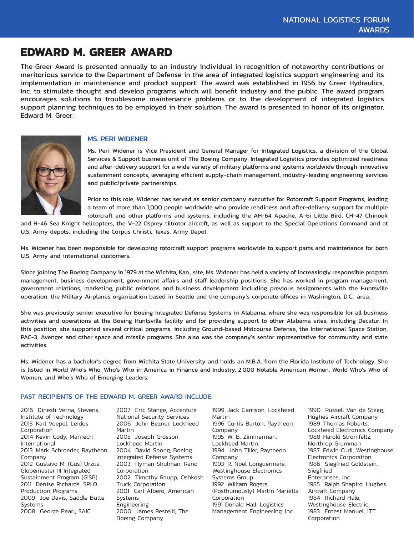## **EDWARD M. GREER AWARD**

The Greer Award is presented annually to an industry individual in recognition of noteworthy contributions or meritorious service to the Department of Defense in the area of integrated logistics support engineering and its implementation in maintenance and product support. The award was established in 1956 by Greer Hydraulics, Inc. to stimulate thought and develop programs which will benefit industry and the public. The award program encourages solutions to troublesome maintenance problems or to the development of integrated logistics support planning techniques to be employed in their solution. The award is presented in honor of its originator, Edward M. Greer.



#### MS. PERI WIDENER

Ms. Peri Widener is Vice President and General Manager for Integrated Logistics, a division of the Global Services & Support business unit of The Boeing Company. Integrated Logistics provides optimized readiness and after-delivery support for a wide variety of military platforms and systems worldwide through innovative sustainment concepts, leveraging efficient supply-chain management, industry-leading engineering services and public/private partnerships.

Prior to this role, Widener has served as senior company executive for Rotorcraft Support Programs, leading a team of more than 1,000 people worldwide who provide readiness and after-delivery support for multiple rotorcraft and other platforms and systems, including the AH-64 Apache, A-6i Little Bird, CH-47 Chinook

and H-46 Sea Knight helicopters, the V-22 Osprey tiltrotor aircraft, as well as support to the Special Operations Command and at U.S. Army depots, including the Corpus Christi, Texas, Army Depot.

Ms. Widener has been responsible for developing rotorcraft support programs worldwide to support parts and maintenance for both U.S. Army and international customers.

Since joining The Boeing Company in 1979 at the Wichita, Kan., site, Ms. Widener has held a variety of increasingly responsible program management, business development, government affairs and staff leadership positions. She has worked in program management, government relations, marketing, public relations and business development including previous assignments with the Huntsville operation, the Military Airplanes organization based in Seattle and the company's corporate offices in Washington, D.C., area.

She was previously senior executive for Boeing Integrated Defense Systems in Alabama, where she was responsible for all business activities and operations at the Boeing Huntsville facility and for providing support to other Alabama sites, including Decatur. In this position, she supported several critical programs, including Ground-based Midcourse Defense, the International Space Station, PAC-3, Avenger and other space and missile programs. She also was the company's senior representative for community and state activities.

Ms. Widener has a bachelor's degree from Wichita State University and holds an M.B.A. from the Florida Institute of Technology. She is listed in World Who's Who, Who's Who in America in Finance and Industry, 2,000 Notable American Women, World Who's Who of Women, and Who's Who of Emerging Leaders.

#### PAST RECIPIENTS OF THE EDWARD M. GREER AWARD INCLUDE:

2016 Dinesh Verna, Stevens Institute of Technology 2015 Karl Voepel, Leidos Corporation 2014 Kevin Cody, ManTech International 2013 Mark Schroeder, Raytheon Company 2012 Gustavo M. (Gus) Urzua, Globemaster III Integrated Sustainment Program (GISP) 2011 Denise Richards, SPLO Production Programs 2009 Joe Davis, Saddle Butte Systems 2008 George Pearl, SAIC

2007 Eric Stange, Accenture National Security Services 2006 John Bezner, Lockheed Martin 2005 Joseph Grosson, Lockheed Martin 2004 David Spong, Boeing Integrated Defense Systems 2003 Hyman Shulman, Rand Corporation 2002 Timothy Raupp, Oshkosh Truck Corporation 2001 Carl Albero, American Systems Engineering 2000 James Restelli, The Boeing Company

1999 Jack Garrison, Lockheed Martin 1996 Curtis Barton, Raytheon Company 1995 W. B. Zimmerman, Lockheed Martin 1994 John Tiller, Raytheon Company 1993 R. Noel Longuermare, Westinghouse Electronics Systems Group 1992 William Rogers (Posthumously) Martin Marietta Corporation 1991 Donald Hall, Logistics Management Engineering, Inc.

1990 Russell Van de Steeg, Hughes Aircraft Company 1989 Thomas Roberts, Lockheed Electronics Company 1988 Harold Stromfeltz, Northrop Grumman 1987 Edwin Curll, Westinghouse Electronics Corporation 1986 Siegfried Goldstein, Siegfried Enterprises, Inc. 1985 Ralph Shapiro, Hughes Aircraft Company 1984 Richard Hale, Westinghouse Electric 1983 Ernest Manuel, ITT Corporation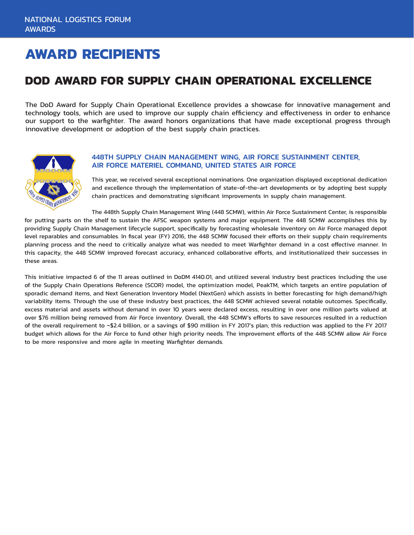## **AWARD RECIPIENTS**

## **DOD AWARD FOR SUPPLY CHAIN OPERATIONAL EXCELLENCE**

The DoD Award for Supply Chain Operational Excellence provides a showcase for innovative management and technology tools, which are used to improve our supply chain efficiency and effectiveness in order to enhance our support to the warfighter. The award honors organizations that have made exceptional progress through innovative development or adoption of the best supply chain practices.



#### 448TH SUPPLY CHAIN MANAGEMENT WING, AIR FORCE SUSTAINMENT CENTER, AIR FORCE MATERIEL COMMAND, UNITED STATES AIR FORCE

This year, we received several exceptional nominations. One organization displayed exceptional dedication and excellence through the implementation of state-of-the-art developments or by adopting best supply chain practices and demonstrating significant improvements in supply chain management.

The 448th Supply Chain Management Wing (448 SCMW), within Air Force Sustainment Center, is responsible for putting parts on the shelf to sustain the AFSC weapon systems and major equipment. The 448 SCMW accomplishes this by providing Supply Chain Management lifecycle support, specifically by forecasting wholesale inventory on Air Force managed depot level reparables and consumables. In fiscal year (FY) 2016, the 448 SCMW focused their efforts on their supply chain requirements planning process and the need to critically analyze what was needed to meet Warfighter demand in a cost effective manner. In this capacity, the 448 SCMW improved forecast accuracy, enhanced collaborative efforts, and institutionalized their successes in these areas.

This initiative impacted 6 of the 11 areas outlined in DoDM 4140.01, and utilized several industry best practices including the use of the Supply Chain Operations Reference (SCOR) model, the optimization model, PeakTM, which targets an entire population of sporadic demand items, and Next Generation Inventory Model (NextGen) which assists in better forecasting for high demand/high variability items. Through the use of these industry best practices, the 448 SCMW achieved several notable outcomes. Specifically, excess material and assets without demand in over 10 years were declared excess, resulting in over one million parts valued at over \$76 million being removed from Air Force inventory. Overall, the 448 SCMW's efforts to save resources resulted in a reduction of the overall requirement to ~\$2.4 billion, or a savings of \$90 million in FY 2017's plan; this reduction was applied to the FY 2017 budget which allows for the Air Force to fund other high priority needs. The improvement efforts of the 448 SCMW allow Air Force to be more responsive and more agile in meeting Warfighter demands.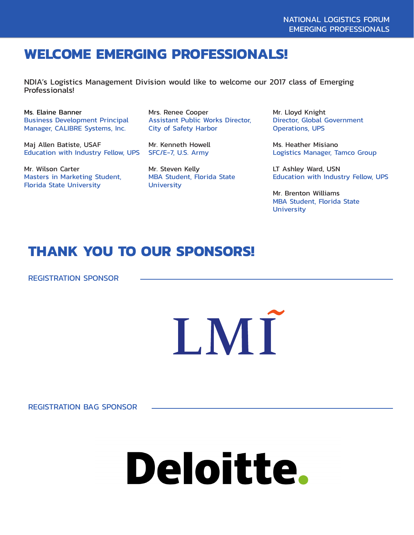## **WELCOME EMERGING PROFESSIONALS!**

NDIA's Logistics Management Division would like to welcome our 2017 class of Emerging Professionals!

Ms. Elaine Banner Business Development Principal Manager, CALIBRE Systems, Inc.

Maj Allen Batiste, USAF Education with Industry Fellow, UPS

Mr. Wilson Carter Masters in Marketing Student, Florida State University

Mrs. Renee Cooper Assistant Public Works Director, City of Safety Harbor

Mr. Kenneth Howell SFC/E-7, U.S. Army

Mr. Steven Kelly MBA Student, Florida State **University** 

Mr. Lloyd Knight Director, Global Government Operations, UPS

Ms. Heather Misiano Logistics Manager, Tamco Group

LT Ashley Ward, USN Education with Industry Fellow, UPS

Mr. Brenton Williams MBA Student, Florida State **University** 

## **THANK YOU TO OUR SPONSORS!**

REGISTRATION SPONSOR



REGISTRATION BAG SPONSOR

# Deloitte.